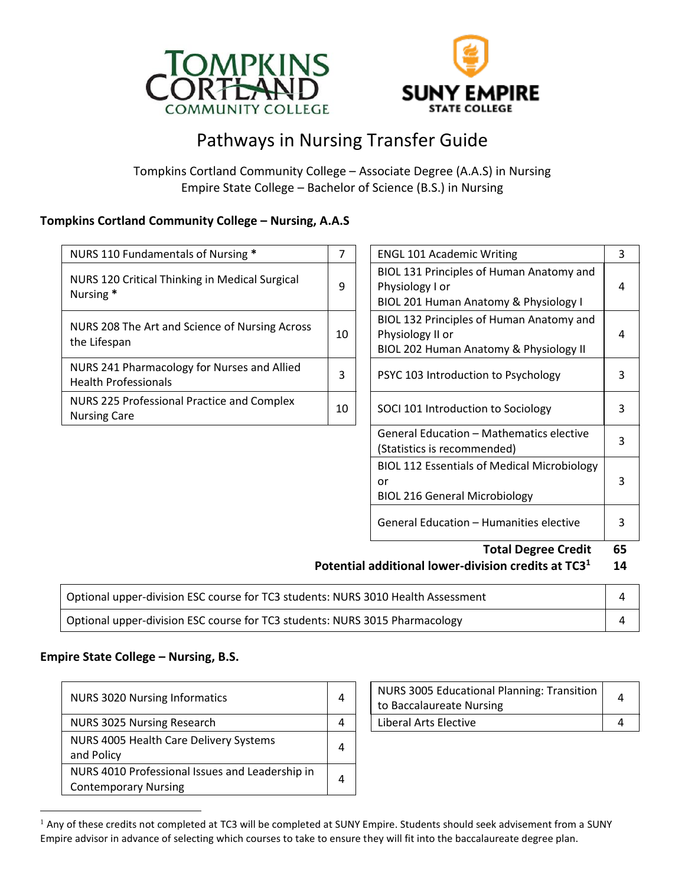



# Pathways in Nursing Transfer Guide

Tompkins Cortland Community College – Associate Degree (A.A.S) in Nursing Empire State College – Bachelor of Science (B.S.) in Nursing

#### **Tompkins Cortland Community College – Nursing, A.A.S**

| NURS 110 Fundamentals of Nursing *                                         |    | <b>ENGL 101 Academic Writing</b>                                                                       |   |
|----------------------------------------------------------------------------|----|--------------------------------------------------------------------------------------------------------|---|
| NURS 120 Critical Thinking in Medical Surgical<br>Nursing *                | q  | BIOL 131 Principles of Human Anatomy and<br>Physiology I or<br>BIOL 201 Human Anatomy & Physiology I   | 4 |
| NURS 208 The Art and Science of Nursing Across<br>the Lifespan             | 10 | BIOL 132 Principles of Human Anatomy and<br>Physiology II or<br>BIOL 202 Human Anatomy & Physiology II | 4 |
| NURS 241 Pharmacology for Nurses and Allied<br><b>Health Professionals</b> | 3  | PSYC 103 Introduction to Psychology                                                                    | 3 |
| NURS 225 Professional Practice and Complex<br><b>Nursing Care</b>          | 10 | SOCI 101 Introduction to Sociology                                                                     | 3 |
|                                                                            |    |                                                                                                        |   |

| <b>Total Degree Credit</b>                                                                       | 65 |  |
|--------------------------------------------------------------------------------------------------|----|--|
| General Education - Humanities elective                                                          | 3  |  |
| <b>BIOL 112 Essentials of Medical Microbiology</b><br>or<br><b>BIOL 216 General Microbiology</b> | 3  |  |
| General Education – Mathematics elective<br>(Statistics is recommended)                          | 3  |  |
| SOCI 101 Introduction to Sociology                                                               | 3  |  |
| PSYC 103 Introduction to Psychology                                                              | 3  |  |
| Physiology II or<br>BIOL 202 Human Anatomy & Physiology II                                       | 4  |  |
| BIOL 132 Principles of Human Anatomy and                                                         |    |  |
| BIOL 201 Human Anatomy & Physiology I                                                            |    |  |
| BIOL 131 Principles of Human Anatomy and<br>Physiology I or                                      | 4  |  |
| <b>ENGL 101 Academic Writing</b>                                                                 | 3  |  |

#### **Potential additional lower-division credits at TC3 1 14**

| Optional upper-division ESC course for TC3 students: NURS 3010 Health Assessment |  |
|----------------------------------------------------------------------------------|--|
| Optional upper-division ESC course for TC3 students: NURS 3015 Pharmacology      |  |

### **Empire State College – Nursing, B.S.**

 $\overline{a}$ 

| <b>NURS 3020 Nursing Informatics</b>                                           | 4 | NURS 3005 Educational Planning: Transition<br>to Baccalaureate Nursing | 4 |
|--------------------------------------------------------------------------------|---|------------------------------------------------------------------------|---|
| NURS 3025 Nursing Research                                                     | 4 | Liberal Arts Elective                                                  |   |
| NURS 4005 Health Care Delivery Systems<br>and Policy                           | 4 |                                                                        |   |
| NURS 4010 Professional Issues and Leadership in<br><b>Contemporary Nursing</b> | 4 |                                                                        |   |

| NURS 3005 Educational Planning: Transition  <br>to Baccalaureate Nursing |  |
|--------------------------------------------------------------------------|--|
| Liberal Arts Elective                                                    |  |

<sup>&</sup>lt;sup>1</sup> Any of these credits not completed at TC3 will be completed at SUNY Empire. Students should seek advisement from a SUNY Empire advisor in advance of selecting which courses to take to ensure they will fit into the baccalaureate degree plan.